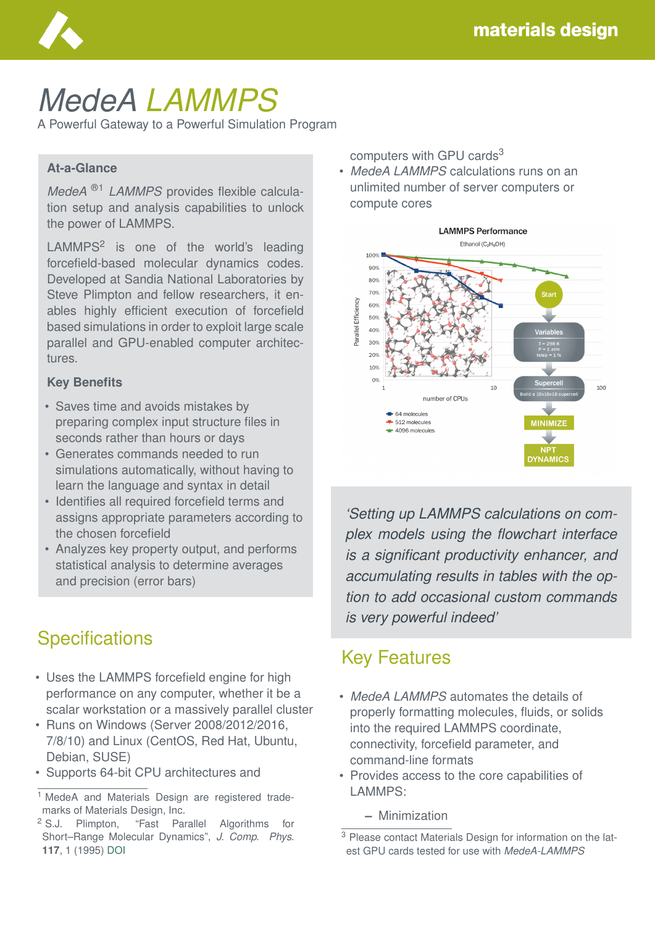

# *MedeA LAMMPS*

A Powerful Gateway to a Powerful Simulation Program

#### **At-a-Glance**

*MedeA* ®1 *LAMMPS* provides flexible calculation setup and analysis capabilities to unlock the power of LAMMPS.

 $LAMMPS<sup>2</sup>$  is one of the world's leading forcefield-based molecular dynamics codes. Developed at Sandia National Laboratories by Steve Plimpton and fellow researchers, it enables highly efficient execution of forcefield based simulations in order to exploit large scale parallel and GPU-enabled computer architectures.

#### **Key Benefits**

- Saves time and avoids mistakes by preparing complex input structure files in seconds rather than hours or days
- Generates commands needed to run simulations automatically, without having to learn the language and syntax in detail
- Identifies all required forcefield terms and assigns appropriate parameters according to the chosen forcefield
- Analyzes key property output, and performs statistical analysis to determine averages and precision (error bars)

# **Specifications**

- Uses the LAMMPS forcefield engine for high performance on any computer, whether it be a scalar workstation or a massively parallel cluster
- Runs on Windows (Server 2008/2012/2016, 7/8/10) and Linux (CentOS, Red Hat, Ubuntu, Debian, SUSE)
- Supports 64-bit CPU architectures and

computers with GPU cards<sup>3</sup>

• *MedeA LAMMPS* calculations runs on an unlimited number of server computers or compute cores



*'Setting up LAMMPS calculations on complex models using the flowchart interface is a significant productivity enhancer, and accumulating results in tables with the option to add occasional custom commands is very powerful indeed'*

#### Key Features

- *MedeA LAMMPS* automates the details of properly formatting molecules, fluids, or solids into the required LAMMPS coordinate, connectivity, forcefield parameter, and command-line formats
- Provides access to the core capabilities of LAMMPS:
	- **–** Minimization

<sup>&</sup>lt;sup>1</sup> MedeA and Materials Design are registered trademarks of Materials Design, Inc.

<sup>2</sup> S.J. Plimpton, "Fast Parallel Algorithms for Short–Range Molecular Dynamics", *J. Comp. Phys.* **117**, 1 (1995) [DOI](https://doi.org/10.1006/jcph.1995.1039)

<sup>&</sup>lt;sup>3</sup> Please contact Materials Design for information on the latest GPU cards tested for use with *MedeA-LAMMPS*